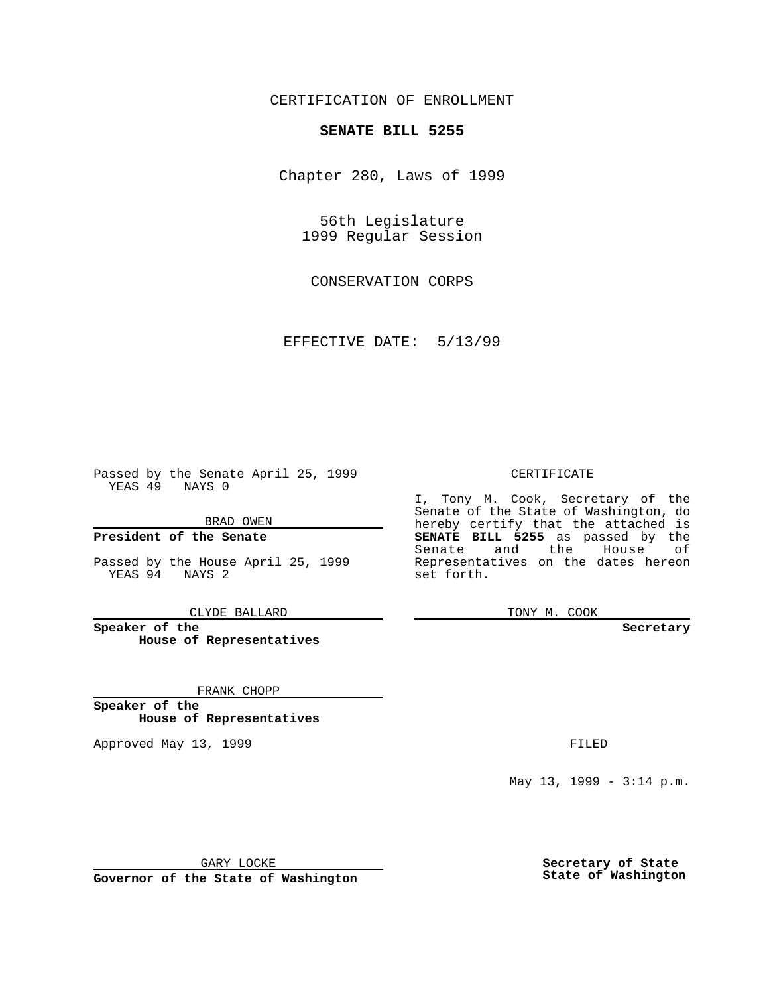### CERTIFICATION OF ENROLLMENT

## **SENATE BILL 5255**

Chapter 280, Laws of 1999

56th Legislature 1999 Regular Session

CONSERVATION CORPS

EFFECTIVE DATE: 5/13/99

Passed by the Senate April 25, 1999 YEAS 49 NAYS 0

BRAD OWEN

**President of the Senate**

Passed by the House April 25, 1999 YEAS 94 NAYS 2

CLYDE BALLARD

**Speaker of the House of Representatives**

FRANK CHOPP

**Speaker of the House of Representatives**

Approved May 13, 1999 **FILED** 

#### CERTIFICATE

I, Tony M. Cook, Secretary of the Senate of the State of Washington, do hereby certify that the attached is **SENATE BILL 5255** as passed by the Senate and the House of Representatives on the dates hereon set forth.

TONY M. COOK

#### **Secretary**

May 13, 1999 - 3:14 p.m.

GARY LOCKE

**Governor of the State of Washington**

**Secretary of State State of Washington**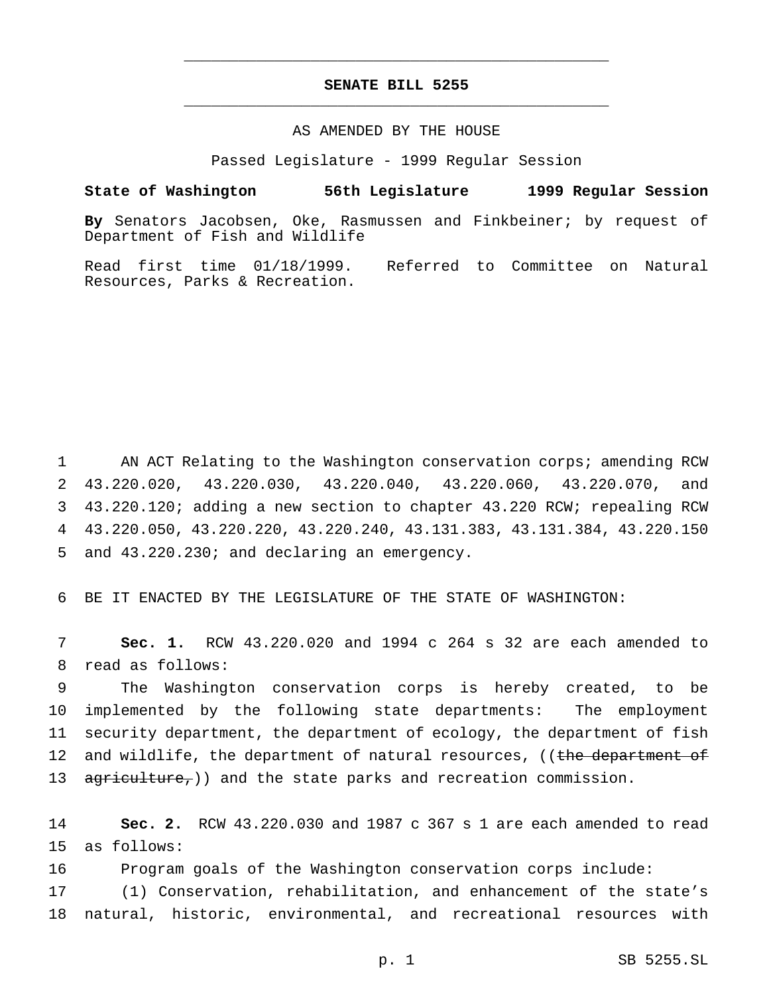### **SENATE BILL 5255** \_\_\_\_\_\_\_\_\_\_\_\_\_\_\_\_\_\_\_\_\_\_\_\_\_\_\_\_\_\_\_\_\_\_\_\_\_\_\_\_\_\_\_\_\_\_\_

\_\_\_\_\_\_\_\_\_\_\_\_\_\_\_\_\_\_\_\_\_\_\_\_\_\_\_\_\_\_\_\_\_\_\_\_\_\_\_\_\_\_\_\_\_\_\_

### AS AMENDED BY THE HOUSE

Passed Legislature - 1999 Regular Session

#### **State of Washington 56th Legislature 1999 Regular Session**

**By** Senators Jacobsen, Oke, Rasmussen and Finkbeiner; by request of Department of Fish and Wildlife

Read first time 01/18/1999. Referred to Committee on Natural Resources, Parks & Recreation.

 AN ACT Relating to the Washington conservation corps; amending RCW 43.220.020, 43.220.030, 43.220.040, 43.220.060, 43.220.070, and 43.220.120; adding a new section to chapter 43.220 RCW; repealing RCW 43.220.050, 43.220.220, 43.220.240, 43.131.383, 43.131.384, 43.220.150 and 43.220.230; and declaring an emergency.

6 BE IT ENACTED BY THE LEGISLATURE OF THE STATE OF WASHINGTON:

7 **Sec. 1.** RCW 43.220.020 and 1994 c 264 s 32 are each amended to 8 read as follows:

9 The Washington conservation corps is hereby created, to be 10 implemented by the following state departments: The employment 11 security department, the department of ecology, the department of fish 12 and wildlife, the department of natural resources, ((the department of 13 agriculture,)) and the state parks and recreation commission.

14 **Sec. 2.** RCW 43.220.030 and 1987 c 367 s 1 are each amended to read 15 as follows:

16 Program goals of the Washington conservation corps include:

17 (1) Conservation, rehabilitation, and enhancement of the state's 18 natural, historic, environmental, and recreational resources with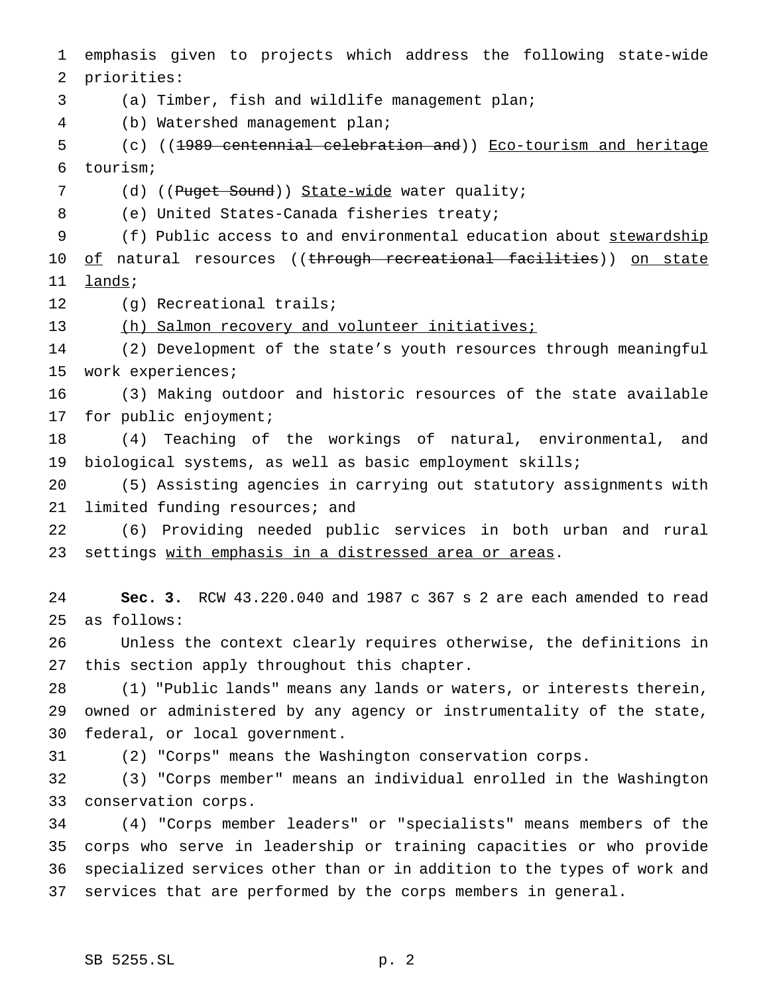emphasis given to projects which address the following state-wide priorities:

(a) Timber, fish and wildlife management plan;

(b) Watershed management plan;

 (c) ((1989 centennial celebration and)) Eco-tourism and heritage tourism;

7 (d) ((Puget Sound)) State-wide water quality;

8 (e) United States-Canada fisheries treaty;

 (f) Public access to and environmental education about stewardship 10 of natural resources ((through recreational facilities)) on state 11 lands;

(g) Recreational trails;

(h) Salmon recovery and volunteer initiatives;

 (2) Development of the state's youth resources through meaningful work experiences;

 (3) Making outdoor and historic resources of the state available 17 for public enjoyment;

 (4) Teaching of the workings of natural, environmental, and biological systems, as well as basic employment skills;

 (5) Assisting agencies in carrying out statutory assignments with 21 limited funding resources; and

 (6) Providing needed public services in both urban and rural settings with emphasis in a distressed area or areas.

 **Sec. 3.** RCW 43.220.040 and 1987 c 367 s 2 are each amended to read as follows:

 Unless the context clearly requires otherwise, the definitions in this section apply throughout this chapter.

 (1) "Public lands" means any lands or waters, or interests therein, owned or administered by any agency or instrumentality of the state, federal, or local government.

(2) "Corps" means the Washington conservation corps.

 (3) "Corps member" means an individual enrolled in the Washington conservation corps.

 (4) "Corps member leaders" or "specialists" means members of the corps who serve in leadership or training capacities or who provide specialized services other than or in addition to the types of work and services that are performed by the corps members in general.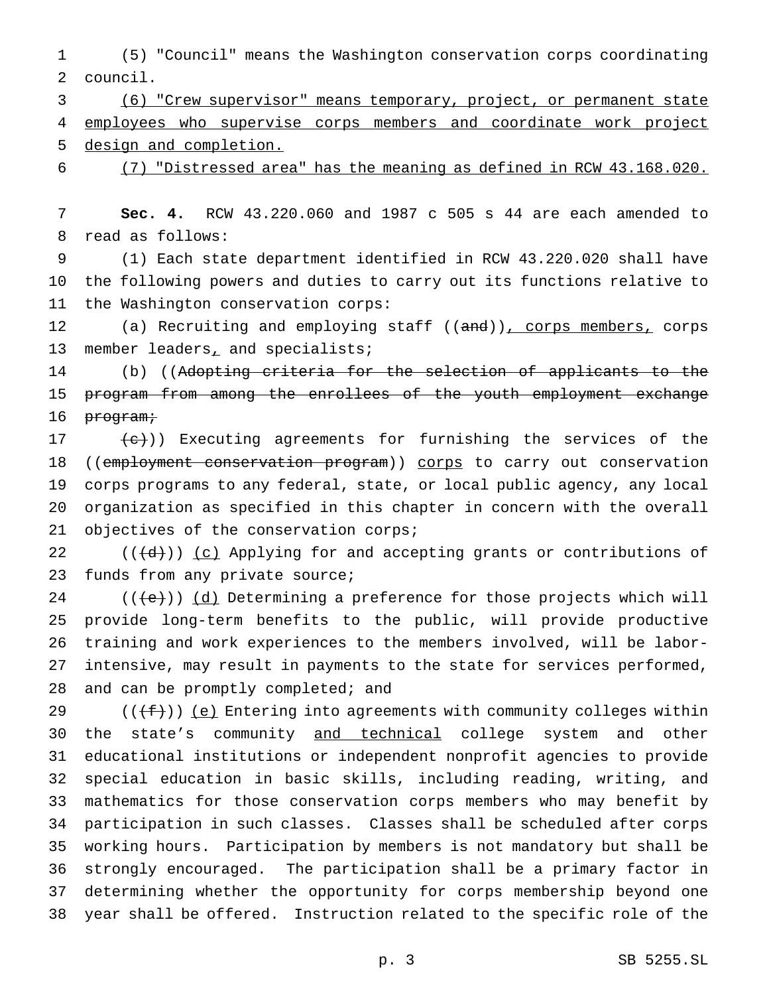(5) "Council" means the Washington conservation corps coordinating council.

 (6) "Crew supervisor" means temporary, project, or permanent state employees who supervise corps members and coordinate work project design and completion.

# (7) "Distressed area" has the meaning as defined in RCW 43.168.020.

 **Sec. 4.** RCW 43.220.060 and 1987 c 505 s 44 are each amended to read as follows:

 (1) Each state department identified in RCW 43.220.020 shall have the following powers and duties to carry out its functions relative to the Washington conservation corps:

12 (a) Recruiting and employing staff ((and)), corps members, corps 13 member leaders<sub>1</sub> and specialists;

 (b) ((Adopting criteria for the selection of applicants to the program from among the enrollees of the youth employment exchange 16 <del>program;</del>

 $\left\{\frac{e}{c}\right\}$ ) Executing agreements for furnishing the services of the 18 ((employment conservation program)) corps to carry out conservation corps programs to any federal, state, or local public agency, any local organization as specified in this chapter in concern with the overall 21 objectives of the conservation corps;

 $((\{d\})\)$  (c) Applying for and accepting grants or contributions of 23 funds from any private source;

 (( $\left(\frac{1}{12}\right)$ ) (d) Determining a preference for those projects which will provide long-term benefits to the public, will provide productive training and work experiences to the members involved, will be labor- intensive, may result in payments to the state for services performed, 28 and can be promptly completed; and

29 ( $(\{\text{f}\})$ ) (e) Entering into agreements with community colleges within the state's community and technical college system and other educational institutions or independent nonprofit agencies to provide special education in basic skills, including reading, writing, and mathematics for those conservation corps members who may benefit by participation in such classes. Classes shall be scheduled after corps working hours. Participation by members is not mandatory but shall be strongly encouraged. The participation shall be a primary factor in determining whether the opportunity for corps membership beyond one year shall be offered. Instruction related to the specific role of the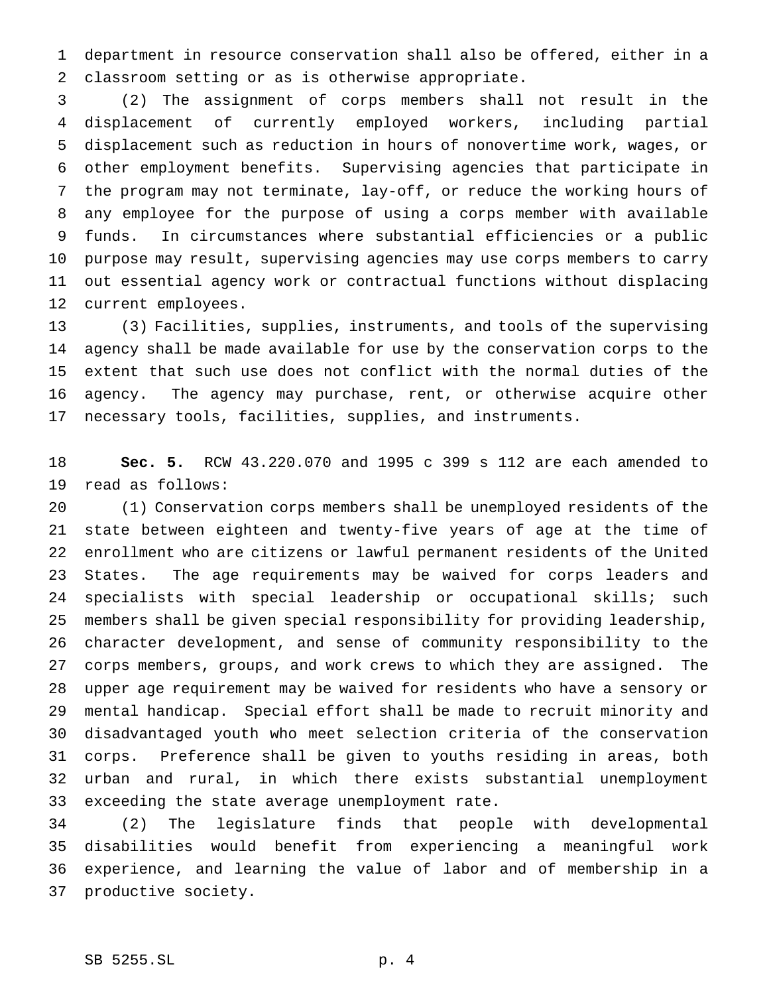department in resource conservation shall also be offered, either in a classroom setting or as is otherwise appropriate.

 (2) The assignment of corps members shall not result in the displacement of currently employed workers, including partial displacement such as reduction in hours of nonovertime work, wages, or other employment benefits. Supervising agencies that participate in the program may not terminate, lay-off, or reduce the working hours of any employee for the purpose of using a corps member with available funds. In circumstances where substantial efficiencies or a public purpose may result, supervising agencies may use corps members to carry out essential agency work or contractual functions without displacing current employees.

 (3) Facilities, supplies, instruments, and tools of the supervising agency shall be made available for use by the conservation corps to the extent that such use does not conflict with the normal duties of the agency. The agency may purchase, rent, or otherwise acquire other necessary tools, facilities, supplies, and instruments.

 **Sec. 5.** RCW 43.220.070 and 1995 c 399 s 112 are each amended to read as follows:

 (1) Conservation corps members shall be unemployed residents of the state between eighteen and twenty-five years of age at the time of enrollment who are citizens or lawful permanent residents of the United States. The age requirements may be waived for corps leaders and specialists with special leadership or occupational skills; such members shall be given special responsibility for providing leadership, character development, and sense of community responsibility to the corps members, groups, and work crews to which they are assigned. The upper age requirement may be waived for residents who have a sensory or mental handicap. Special effort shall be made to recruit minority and disadvantaged youth who meet selection criteria of the conservation corps. Preference shall be given to youths residing in areas, both urban and rural, in which there exists substantial unemployment exceeding the state average unemployment rate.

 (2) The legislature finds that people with developmental disabilities would benefit from experiencing a meaningful work experience, and learning the value of labor and of membership in a productive society.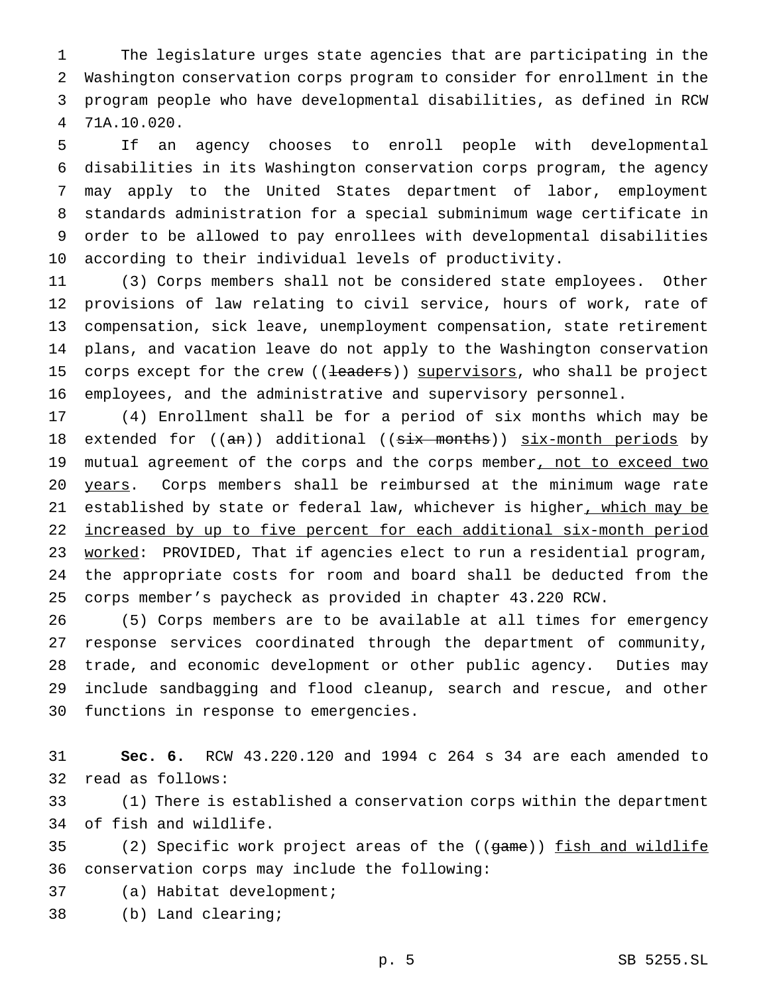The legislature urges state agencies that are participating in the Washington conservation corps program to consider for enrollment in the program people who have developmental disabilities, as defined in RCW 71A.10.020.

 If an agency chooses to enroll people with developmental disabilities in its Washington conservation corps program, the agency may apply to the United States department of labor, employment standards administration for a special subminimum wage certificate in order to be allowed to pay enrollees with developmental disabilities according to their individual levels of productivity.

 (3) Corps members shall not be considered state employees. Other provisions of law relating to civil service, hours of work, rate of compensation, sick leave, unemployment compensation, state retirement plans, and vacation leave do not apply to the Washington conservation 15 corps except for the crew ((leaders)) supervisors, who shall be project employees, and the administrative and supervisory personnel.

 (4) Enrollment shall be for a period of six months which may be 18 extended for  $((an))$  additional  $((six-month) )$  six-month periods by 19 mutual agreement of the corps and the corps member, not to exceed two 20 years. Corps members shall be reimbursed at the minimum wage rate 21 established by state or federal law, whichever is higher, which may be increased by up to five percent for each additional six-month period 23 worked: PROVIDED, That if agencies elect to run a residential program, the appropriate costs for room and board shall be deducted from the corps member's paycheck as provided in chapter 43.220 RCW.

 (5) Corps members are to be available at all times for emergency response services coordinated through the department of community, trade, and economic development or other public agency. Duties may include sandbagging and flood cleanup, search and rescue, and other functions in response to emergencies.

 **Sec. 6.** RCW 43.220.120 and 1994 c 264 s 34 are each amended to read as follows:

 (1) There is established a conservation corps within the department of fish and wildlife.

35 (2) Specific work project areas of the ((game)) fish and wildlife conservation corps may include the following:

- (a) Habitat development;
- (b) Land clearing;

p. 5 SB 5255.SL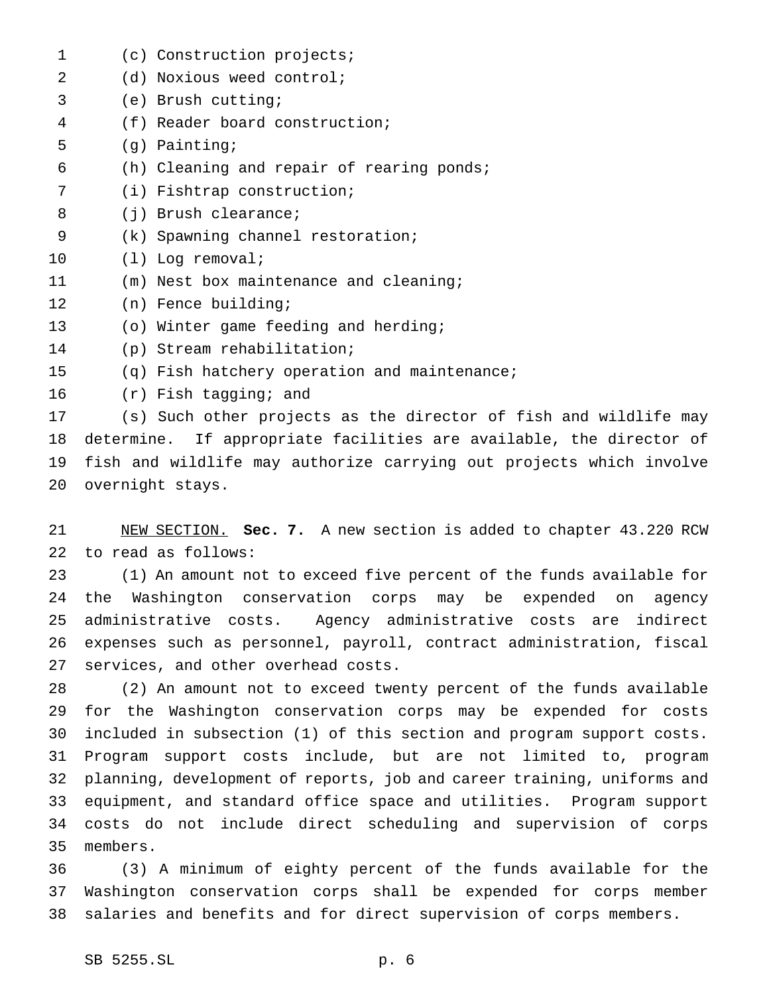(c) Construction projects; (d) Noxious weed control; (e) Brush cutting; (f) Reader board construction; (g) Painting; (h) Cleaning and repair of rearing ponds; (i) Fishtrap construction; 8 (j) Brush clearance; (k) Spawning channel restoration; (l) Log removal; (m) Nest box maintenance and cleaning; (n) Fence building; (o) Winter game feeding and herding; (p) Stream rehabilitation; (q) Fish hatchery operation and maintenance; (r) Fish tagging; and (s) Such other projects as the director of fish and wildlife may determine. If appropriate facilities are available, the director of fish and wildlife may authorize carrying out projects which involve

 NEW SECTION. **Sec. 7.** A new section is added to chapter 43.220 RCW to read as follows:

 (1) An amount not to exceed five percent of the funds available for the Washington conservation corps may be expended on agency administrative costs. Agency administrative costs are indirect expenses such as personnel, payroll, contract administration, fiscal services, and other overhead costs.

 (2) An amount not to exceed twenty percent of the funds available for the Washington conservation corps may be expended for costs included in subsection (1) of this section and program support costs. Program support costs include, but are not limited to, program planning, development of reports, job and career training, uniforms and equipment, and standard office space and utilities. Program support costs do not include direct scheduling and supervision of corps members.

 (3) A minimum of eighty percent of the funds available for the Washington conservation corps shall be expended for corps member salaries and benefits and for direct supervision of corps members.

overnight stays.